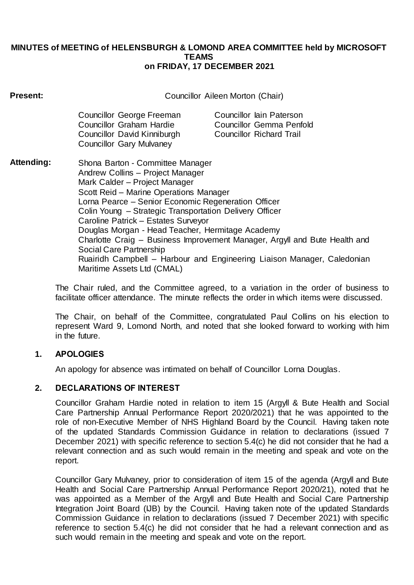### **MINUTES of MEETING of HELENSBURGH & LOMOND AREA COMMITTEE held by MICROSOFT TEAMS on FRIDAY, 17 DECEMBER 2021**

| <b>Present:</b> | Councillor Aileen Morton (Chair)                                                                                                                                                                                                                                                                                                                                                                                                                                                                                                                                               |                                                                                                |
|-----------------|--------------------------------------------------------------------------------------------------------------------------------------------------------------------------------------------------------------------------------------------------------------------------------------------------------------------------------------------------------------------------------------------------------------------------------------------------------------------------------------------------------------------------------------------------------------------------------|------------------------------------------------------------------------------------------------|
|                 | <b>Councillor George Freeman</b><br><b>Councillor Graham Hardie</b><br>Councillor David Kinniburgh<br><b>Councillor Gary Mulvaney</b>                                                                                                                                                                                                                                                                                                                                                                                                                                          | Councillor lain Paterson<br><b>Councillor Gemma Penfold</b><br><b>Councillor Richard Trail</b> |
| Attending:      | Shona Barton - Committee Manager<br>Andrew Collins - Project Manager<br>Mark Calder - Project Manager<br>Scott Reid - Marine Operations Manager<br>Lorna Pearce - Senior Economic Regeneration Officer<br>Colin Young - Strategic Transportation Delivery Officer<br>Caroline Patrick - Estates Surveyor<br>Douglas Morgan - Head Teacher, Hermitage Academy<br>Charlotte Craig - Business Improvement Manager, Argyll and Bute Health and<br>Social Care Partnership<br>Ruairidh Campbell - Harbour and Engineering Liaison Manager, Caledonian<br>Maritime Assets Ltd (CMAL) |                                                                                                |

The Chair ruled, and the Committee agreed, to a variation in the order of business to facilitate officer attendance. The minute reflects the order in which items were discussed.

The Chair, on behalf of the Committee, congratulated Paul Collins on his election to represent Ward 9, Lomond North, and noted that she looked forward to working with him in the future.

## **1. APOLOGIES**

An apology for absence was intimated on behalf of Councillor Lorna Douglas.

## **2. DECLARATIONS OF INTEREST**

Councillor Graham Hardie noted in relation to item 15 (Argyll & Bute Health and Social Care Partnership Annual Performance Report 2020/2021) that he was appointed to the role of non-Executive Member of NHS Highland Board by the Council. Having taken note of the updated Standards Commission Guidance in relation to declarations (issued 7 December 2021) with specific reference to section 5.4(c) he did not consider that he had a relevant connection and as such would remain in the meeting and speak and vote on the report.

Councillor Gary Mulvaney, prior to consideration of item 15 of the agenda (Argyll and Bute Health and Social Care Partnership Annual Performance Report 2020/21), noted that he was appointed as a Member of the Argyll and Bute Health and Social Care Partnership Integration Joint Board (IJB) by the Council. Having taken note of the updated Standards Commission Guidance in relation to declarations (issued 7 December 2021) with specific reference to section 5.4(c) he did not consider that he had a relevant connection and as such would remain in the meeting and speak and vote on the report.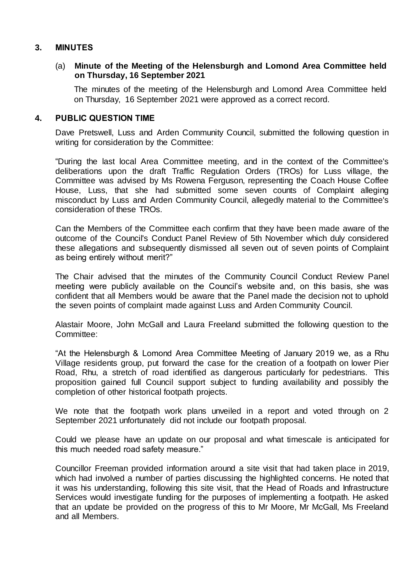### **3. MINUTES**

### (a) **Minute of the Meeting of the Helensburgh and Lomond Area Committee held on Thursday, 16 September 2021**

The minutes of the meeting of the Helensburgh and Lomond Area Committee held on Thursday, 16 September 2021 were approved as a correct record.

#### **4. PUBLIC QUESTION TIME**

Dave Pretswell, Luss and Arden Community Council, submitted the following question in writing for consideration by the Committee:

"During the last local Area Committee meeting, and in the context of the Committee's deliberations upon the draft Traffic Regulation Orders (TROs) for Luss village, the Committee was advised by Ms Rowena Ferguson, representing the Coach House Coffee House, Luss, that she had submitted some seven counts of Complaint alleging misconduct by Luss and Arden Community Council, allegedly material to the Committee's consideration of these TROs.

Can the Members of the Committee each confirm that they have been made aware of the outcome of the Council's Conduct Panel Review of 5th November which duly considered these allegations and subsequently dismissed all seven out of seven points of Complaint as being entirely without merit?"

The Chair advised that the minutes of the Community Council Conduct Review Panel meeting were publicly available on the Council's website and, on this basis, she was confident that all Members would be aware that the Panel made the decision not to uphold the seven points of complaint made against Luss and Arden Community Council.

Alastair Moore, John McGall and Laura Freeland submitted the following question to the Committee:

"At the Helensburgh & Lomond Area Committee Meeting of January 2019 we, as a Rhu Village residents group, put forward the case for the creation of a footpath on lower Pier Road, Rhu, a stretch of road identified as dangerous particularly for pedestrians. This proposition gained full Council support subject to funding availability and possibly the completion of other historical footpath projects.

We note that the footpath work plans unveiled in a report and voted through on 2 September 2021 unfortunately did not include our footpath proposal.

Could we please have an update on our proposal and what timescale is anticipated for this much needed road safety measure."

Councillor Freeman provided information around a site visit that had taken place in 2019, which had involved a number of parties discussing the highlighted concerns. He noted that it was his understanding, following this site visit, that the Head of Roads and Infrastructure Services would investigate funding for the purposes of implementing a footpath. He asked that an update be provided on the progress of this to Mr Moore, Mr McGall, Ms Freeland and all Members.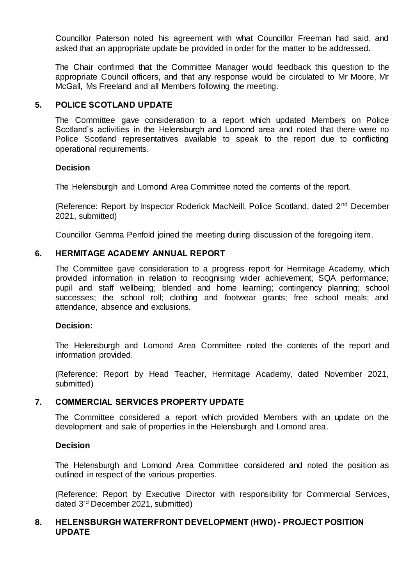Councillor Paterson noted his agreement with what Councillor Freeman had said, and asked that an appropriate update be provided in order for the matter to be addressed.

The Chair confirmed that the Committee Manager would feedback this question to the appropriate Council officers, and that any response would be circulated to Mr Moore, Mr McGall, Ms Freeland and all Members following the meeting.

### **5. POLICE SCOTLAND UPDATE**

The Committee gave consideration to a report which updated Members on Police Scotland's activities in the Helensburgh and Lomond area and noted that there were no Police Scotland representatives available to speak to the report due to conflicting operational requirements.

#### **Decision**

The Helensburgh and Lomond Area Committee noted the contents of the report.

(Reference: Report by Inspector Roderick MacNeill, Police Scotland, dated 2nd December 2021, submitted)

Councillor Gemma Penfold joined the meeting during discussion of the foregoing item.

### **6. HERMITAGE ACADEMY ANNUAL REPORT**

The Committee gave consideration to a progress report for Hermitage Academy, which provided information in relation to recognising wider achievement; SQA performance; pupil and staff wellbeing; blended and home learning; contingency planning; school successes; the school roll; clothing and footwear grants; free school meals; and attendance, absence and exclusions.

#### **Decision:**

The Helensburgh and Lomond Area Committee noted the contents of the report and information provided.

(Reference: Report by Head Teacher, Hermitage Academy, dated November 2021, submitted)

#### **7. COMMERCIAL SERVICES PROPERTY UPDATE**

The Committee considered a report which provided Members with an update on the development and sale of properties in the Helensburgh and Lomond area.

### **Decision**

The Helensburgh and Lomond Area Committee considered and noted the position as outlined in respect of the various properties.

(Reference: Report by Executive Director with responsibility for Commercial Services, dated 3rd December 2021, submitted)

## **8. HELENSBURGH WATERFRONT DEVELOPMENT (HWD) - PROJECT POSITION UPDATE**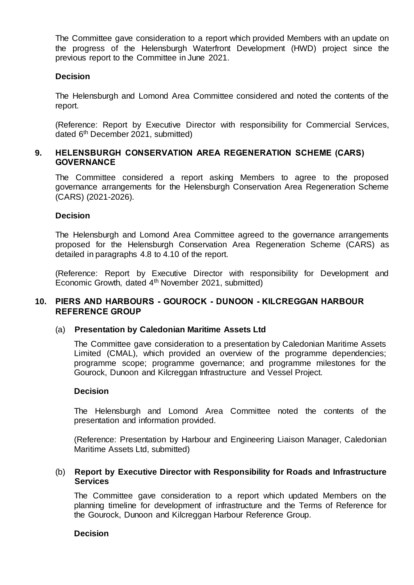The Committee gave consideration to a report which provided Members with an update on the progress of the Helensburgh Waterfront Development (HWD) project since the previous report to the Committee in June 2021.

### **Decision**

The Helensburgh and Lomond Area Committee considered and noted the contents of the report.

(Reference: Report by Executive Director with responsibility for Commercial Services, dated 6<sup>th</sup> December 2021, submitted)

### **9. HELENSBURGH CONSERVATION AREA REGENERATION SCHEME (CARS) GOVERNANCE**

The Committee considered a report asking Members to agree to the proposed governance arrangements for the Helensburgh Conservation Area Regeneration Scheme (CARS) (2021-2026).

### **Decision**

The Helensburgh and Lomond Area Committee agreed to the governance arrangements proposed for the Helensburgh Conservation Area Regeneration Scheme (CARS) as detailed in paragraphs 4.8 to 4.10 of the report.

(Reference: Report by Executive Director with responsibility for Development and Economic Growth, dated 4<sup>th</sup> November 2021, submitted)

## **10. PIERS AND HARBOURS - GOUROCK - DUNOON - KILCREGGAN HARBOUR REFERENCE GROUP**

#### (a) **Presentation by Caledonian Maritime Assets Ltd**

The Committee gave consideration to a presentation by Caledonian Maritime Assets Limited (CMAL), which provided an overview of the programme dependencies; programme scope; programme governance; and programme milestones for the Gourock, Dunoon and Kilcreggan Infrastructure and Vessel Project.

#### **Decision**

The Helensburgh and Lomond Area Committee noted the contents of the presentation and information provided.

(Reference: Presentation by Harbour and Engineering Liaison Manager, Caledonian Maritime Assets Ltd, submitted)

### (b) **Report by Executive Director with Responsibility for Roads and Infrastructure Services**

The Committee gave consideration to a report which updated Members on the planning timeline for development of infrastructure and the Terms of Reference for the Gourock, Dunoon and Kilcreggan Harbour Reference Group.

#### **Decision**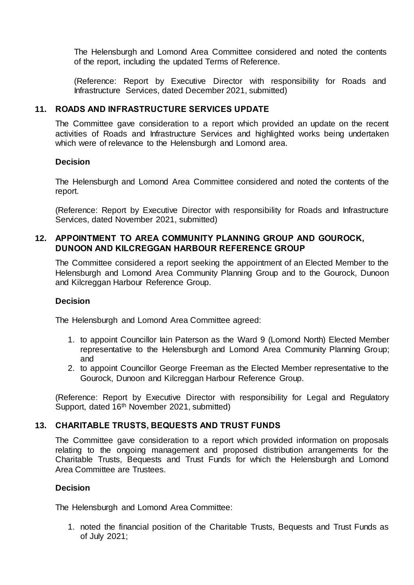The Helensburgh and Lomond Area Committee considered and noted the contents of the report, including the updated Terms of Reference.

(Reference: Report by Executive Director with responsibility for Roads and Infrastructure Services, dated December 2021, submitted)

## **11. ROADS AND INFRASTRUCTURE SERVICES UPDATE**

The Committee gave consideration to a report which provided an update on the recent activities of Roads and Infrastructure Services and highlighted works being undertaken which were of relevance to the Helensburgh and Lomond area.

#### **Decision**

The Helensburgh and Lomond Area Committee considered and noted the contents of the report.

(Reference: Report by Executive Director with responsibility for Roads and Infrastructure Services, dated November 2021, submitted)

## **12. APPOINTMENT TO AREA COMMUNITY PLANNING GROUP AND GOUROCK, DUNOON AND KILCREGGAN HARBOUR REFERENCE GROUP**

The Committee considered a report seeking the appointment of an Elected Member to the Helensburgh and Lomond Area Community Planning Group and to the Gourock, Dunoon and Kilcreggan Harbour Reference Group.

#### **Decision**

The Helensburgh and Lomond Area Committee agreed:

- 1. to appoint Councillor Iain Paterson as the Ward 9 (Lomond North) Elected Member representative to the Helensburgh and Lomond Area Community Planning Group; and
- 2. to appoint Councillor George Freeman as the Elected Member representative to the Gourock, Dunoon and Kilcreggan Harbour Reference Group.

(Reference: Report by Executive Director with responsibility for Legal and Regulatory Support, dated 16<sup>th</sup> November 2021, submitted)

## **13. CHARITABLE TRUSTS, BEQUESTS AND TRUST FUNDS**

The Committee gave consideration to a report which provided information on proposals relating to the ongoing management and proposed distribution arrangements for the Charitable Trusts, Bequests and Trust Funds for which the Helensburgh and Lomond Area Committee are Trustees.

#### **Decision**

The Helensburgh and Lomond Area Committee:

1. noted the financial position of the Charitable Trusts, Bequests and Trust Funds as of July 2021;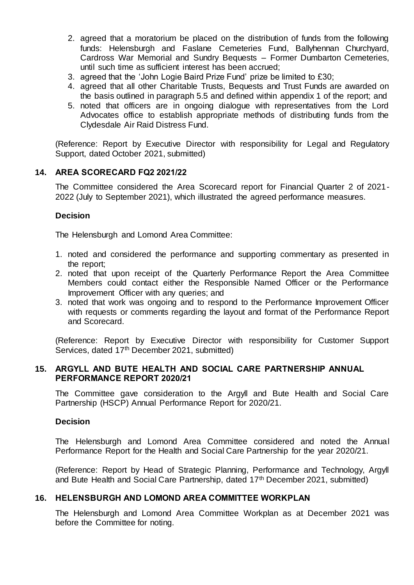- 2. agreed that a moratorium be placed on the distribution of funds from the following funds: Helensburgh and Faslane Cemeteries Fund, Ballyhennan Churchyard, Cardross War Memorial and Sundry Bequests – Former Dumbarton Cemeteries, until such time as sufficient interest has been accrued;
- 3. agreed that the 'John Logie Baird Prize Fund' prize be limited to £30;
- 4. agreed that all other Charitable Trusts, Bequests and Trust Funds are awarded on the basis outlined in paragraph 5.5 and defined within appendix 1 of the report; and
- 5. noted that officers are in ongoing dialogue with representatives from the Lord Advocates office to establish appropriate methods of distributing funds from the Clydesdale Air Raid Distress Fund.

(Reference: Report by Executive Director with responsibility for Legal and Regulatory Support, dated October 2021, submitted)

## **14. AREA SCORECARD FQ2 2021/22**

The Committee considered the Area Scorecard report for Financial Quarter 2 of 2021- 2022 (July to September 2021), which illustrated the agreed performance measures.

## **Decision**

The Helensburgh and Lomond Area Committee:

- 1. noted and considered the performance and supporting commentary as presented in the report;
- 2. noted that upon receipt of the Quarterly Performance Report the Area Committee Members could contact either the Responsible Named Officer or the Performance Improvement Officer with any queries; and
- 3. noted that work was ongoing and to respond to the Performance Improvement Officer with requests or comments regarding the layout and format of the Performance Report and Scorecard.

(Reference: Report by Executive Director with responsibility for Customer Support Services, dated 17<sup>th</sup> December 2021, submitted)

## **15. ARGYLL AND BUTE HEALTH AND SOCIAL CARE PARTNERSHIP ANNUAL PERFORMANCE REPORT 2020/21**

The Committee gave consideration to the Argyll and Bute Health and Social Care Partnership (HSCP) Annual Performance Report for 2020/21.

## **Decision**

The Helensburgh and Lomond Area Committee considered and noted the Annual Performance Report for the Health and Social Care Partnership for the year 2020/21.

(Reference: Report by Head of Strategic Planning, Performance and Technology, Argyll and Bute Health and Social Care Partnership, dated 17<sup>th</sup> December 2021, submitted)

## **16. HELENSBURGH AND LOMOND AREA COMMITTEE WORKPLAN**

The Helensburgh and Lomond Area Committee Workplan as at December 2021 was before the Committee for noting.